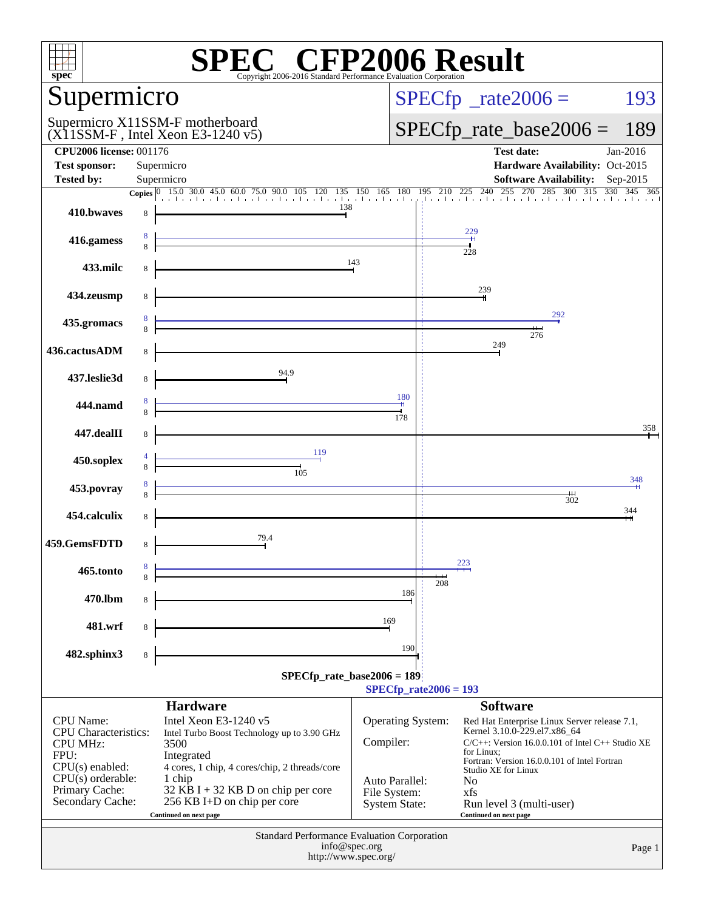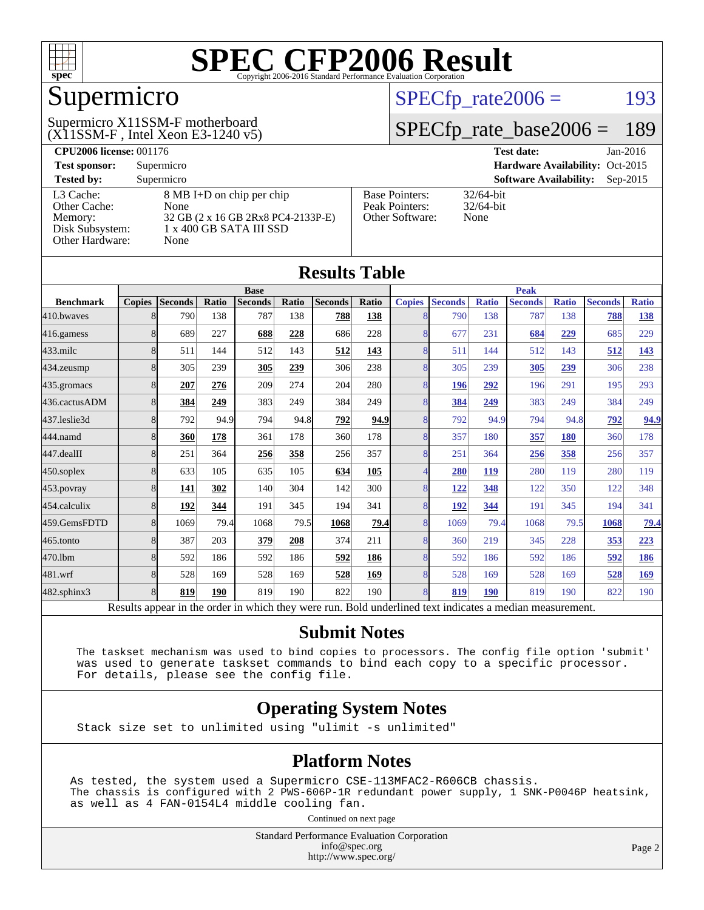

# Supermicro

#### $(X11SSM-F$ , Intel Xeon E3-1240 v5) Supermicro X11SSM-F motherboard

 $SPECTp_rate2006 = 193$ 

#### [SPECfp\\_rate\\_base2006 =](http://www.spec.org/auto/cpu2006/Docs/result-fields.html#SPECfpratebase2006) 189

| <b>CPU2006 license: 001176</b> |                                    |                                 | <b>Test date:</b><br>$Jan-2016$             |  |  |  |
|--------------------------------|------------------------------------|---------------------------------|---------------------------------------------|--|--|--|
| <b>Test sponsor:</b>           | Supermicro                         | Hardware Availability: Oct-2015 |                                             |  |  |  |
| <b>Tested by:</b>              | Supermicro                         |                                 | <b>Software Availability:</b><br>$Sep-2015$ |  |  |  |
| L3 Cache:                      | 8 MB I+D on chip per chip          | <b>Base Pointers:</b>           | $32/64$ -bit                                |  |  |  |
| Other Cache:                   | None                               | Peak Pointers:                  | $32/64$ -bit                                |  |  |  |
| Memory:                        | 32 GB (2 x 16 GB 2Rx8 PC4-2133P-E) | Other Software:                 | None                                        |  |  |  |
| Disk Subsystem:                | 1 x 400 GB SATA III SSD            |                                 |                                             |  |  |  |
| Other Hardware:                | None                               |                                 |                                             |  |  |  |

**[Results Table](http://www.spec.org/auto/cpu2006/Docs/result-fields.html#ResultsTable)**

| Results Table                                                                                            |                |                |       |                |       |                |             |                          |                |              |                |              |                |              |
|----------------------------------------------------------------------------------------------------------|----------------|----------------|-------|----------------|-------|----------------|-------------|--------------------------|----------------|--------------|----------------|--------------|----------------|--------------|
|                                                                                                          | <b>Base</b>    |                |       |                |       |                | <b>Peak</b> |                          |                |              |                |              |                |              |
| <b>Benchmark</b>                                                                                         | <b>Copies</b>  | <b>Seconds</b> | Ratio | <b>Seconds</b> | Ratio | <b>Seconds</b> | Ratio       | <b>Copies</b>            | <b>Seconds</b> | <b>Ratio</b> | <b>Seconds</b> | <b>Ratio</b> | <b>Seconds</b> | <b>Ratio</b> |
| 410.bwaves                                                                                               | 8              | 790            | 138   | 787            | 138   | 788            | 138         | 8 <sup>l</sup>           | 790            | 138          | 787            | 138          | 788            | 138          |
| 416.gamess                                                                                               | 8              | 689            | 227   | 688            | 228   | 686            | 228         | 8                        | 677            | 231          | 684            | 229          | 685            | 229          |
| $433$ .milc                                                                                              | 8              | 511            | 144   | 512            | 143   | 512            | 143         | 8                        | 511            | 144          | 512            | 143          | 512            | <u>143</u>   |
| 434.zeusmp                                                                                               | 8              | 305            | 239   | 305            | 239   | 306            | 238         | 8                        | 305            | 239          | 305            | 239          | 306            | 238          |
| 435.gromacs                                                                                              | 8              | 207            | 276   | 209            | 274   | 204            | 280         | 8                        | 196            | 292          | 196            | 291          | 195            | 293          |
| 436.cactusADM                                                                                            | 8              | 384            | 249   | 383            | 249   | 384            | 249         | 8                        | 384            | 249          | 383            | 249          | 384            | 249          |
| 437.leslie3d                                                                                             | $\overline{8}$ | 792            | 94.9  | 794            | 94.8  | 792            | 94.9        | 8                        | 792            | 94.9         | 794            | 94.8         | 792            | 94.9         |
| 444.namd                                                                                                 | 8              | 360            | 178   | 361            | 178   | 360            | 178         | 8                        | 357            | 180          | 357            | 180          | 360            | 178          |
| 447.dealII                                                                                               | 8              | 251            | 364   | 256            | 358   | 256            | 357         | 8                        | 251            | 364          | 256            | 358          | 256            | 357          |
| 450.soplex                                                                                               | 8              | 633            | 105   | 635            | 105   | 634            | 105         | $\overline{\mathcal{A}}$ | 280            | 119          | 280            | 119          | 280            | 119          |
| 453.povray                                                                                               | 8              | 141            | 302   | 140            | 304   | 142            | 300         | 8                        | 122            | 348          | 122            | 350          | 122            | 348          |
| 454.calculix                                                                                             | 8              | 192            | 344   | 191            | 345   | 194            | 341         | 8                        | 192            | 344          | 191            | 345          | 194            | 341          |
| 459.GemsFDTD                                                                                             | 8              | 1069           | 79.4  | 1068           | 79.5  | 1068           | 79.4        | 8                        | 1069           | 79.4         | 1068           | 79.5         | 1068           | <u>79.4</u>  |
| 465.tonto                                                                                                | $\overline{8}$ | 387            | 203   | 379            | 208   | 374            | 211         | $\overline{8}$           | 360            | 219          | 345            | 228          | 353            | 223          |
| 470.1bm                                                                                                  | 8              | 592            | 186   | 592            | 186   | 592            | 186         | $\overline{8}$           | 592            | 186          | 592            | 186          | 592            | 186          |
| 481.wrf                                                                                                  | 8              | 528            | 169   | 528            | 169   | 528            | 169         | 8                        | 528            | 169          | 528            | 169          | 528            | <u>169</u>   |
| 482.sphinx3                                                                                              | $\overline{8}$ | 819            | 190   | 819            | 190   | 822            | 190         | 8                        | 819            | <b>190</b>   | 819            | 190          | 822            | 190          |
| Results appear in the order in which they were run. Bold underlined text indicates a median measurement. |                |                |       |                |       |                |             |                          |                |              |                |              |                |              |

#### **[Submit Notes](http://www.spec.org/auto/cpu2006/Docs/result-fields.html#SubmitNotes)**

 The taskset mechanism was used to bind copies to processors. The config file option 'submit' was used to generate taskset commands to bind each copy to a specific processor. For details, please see the config file.

#### **[Operating System Notes](http://www.spec.org/auto/cpu2006/Docs/result-fields.html#OperatingSystemNotes)**

Stack size set to unlimited using "ulimit -s unlimited"

#### **[Platform Notes](http://www.spec.org/auto/cpu2006/Docs/result-fields.html#PlatformNotes)**

As tested, the system used a Supermicro CSE-113MFAC2-R606CB chassis. The chassis is configured with 2 PWS-606P-1R redundant power supply, 1 SNK-P0046P heatsink, as well as 4 FAN-0154L4 middle cooling fan.

Continued on next page

Standard Performance Evaluation Corporation [info@spec.org](mailto:info@spec.org) <http://www.spec.org/>

Page 2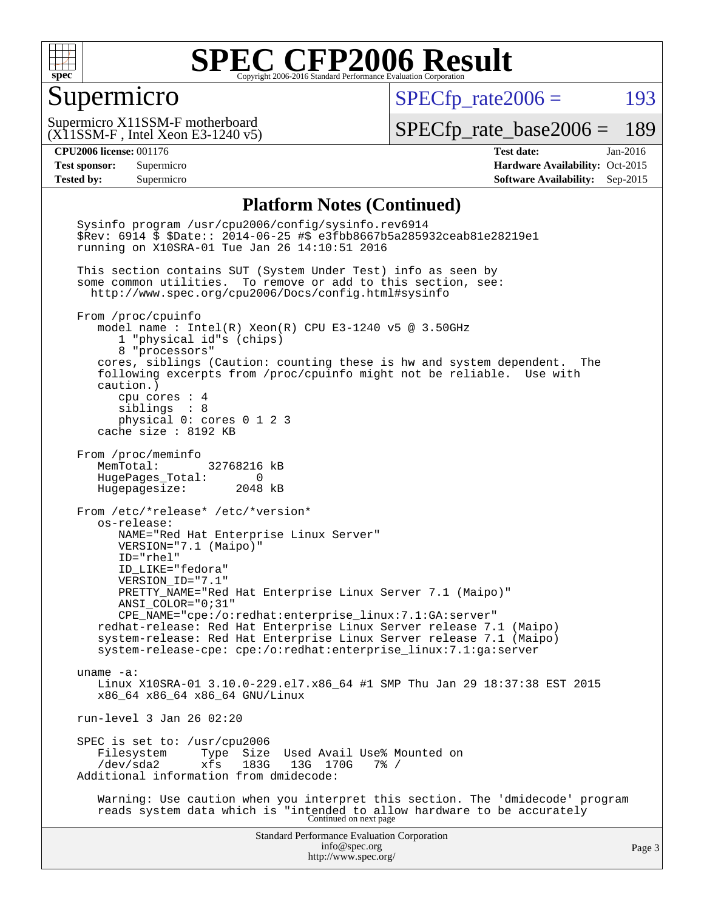

#### Supermicro

 $SPECTp_rate2006 = 193$ 

(X11SSM-F , Intel Xeon E3-1240 v5) Supermicro X11SSM-F motherboard

[SPECfp\\_rate\\_base2006 =](http://www.spec.org/auto/cpu2006/Docs/result-fields.html#SPECfpratebase2006) 189

**[CPU2006 license:](http://www.spec.org/auto/cpu2006/Docs/result-fields.html#CPU2006license)** 001176 **[Test date:](http://www.spec.org/auto/cpu2006/Docs/result-fields.html#Testdate)** Jan-2016 **[Test sponsor:](http://www.spec.org/auto/cpu2006/Docs/result-fields.html#Testsponsor)** Supermicro Supermicro **[Hardware Availability:](http://www.spec.org/auto/cpu2006/Docs/result-fields.html#HardwareAvailability)** Oct-2015 **[Tested by:](http://www.spec.org/auto/cpu2006/Docs/result-fields.html#Testedby)** Supermicro **Supermicro [Software Availability:](http://www.spec.org/auto/cpu2006/Docs/result-fields.html#SoftwareAvailability)** Sep-2015

#### **[Platform Notes \(Continued\)](http://www.spec.org/auto/cpu2006/Docs/result-fields.html#PlatformNotes)**

Standard Performance Evaluation Corporation [info@spec.org](mailto:info@spec.org) <http://www.spec.org/> Page 3 Sysinfo program /usr/cpu2006/config/sysinfo.rev6914 \$Rev: 6914 \$ \$Date:: 2014-06-25 #\$ e3fbb8667b5a285932ceab81e28219e1 running on X10SRA-01 Tue Jan 26 14:10:51 2016 This section contains SUT (System Under Test) info as seen by some common utilities. To remove or add to this section, see: <http://www.spec.org/cpu2006/Docs/config.html#sysinfo> From /proc/cpuinfo model name : Intel(R) Xeon(R) CPU E3-1240 v5 @ 3.50GHz 1 "physical id"s (chips) 8 "processors" cores, siblings (Caution: counting these is hw and system dependent. The following excerpts from /proc/cpuinfo might not be reliable. Use with caution.) cpu cores : 4 siblings : 8 physical 0: cores 0 1 2 3 cache size : 8192 KB From /proc/meminfo MemTotal: 32768216 kB HugePages\_Total: 0 Hugepagesize: 2048 kB From /etc/\*release\* /etc/\*version\* os-release: NAME="Red Hat Enterprise Linux Server" VERSION="7.1 (Maipo)" ID="rhel" ID\_LIKE="fedora" VERSION\_ID="7.1" PRETTY\_NAME="Red Hat Enterprise Linux Server 7.1 (Maipo)" ANSI\_COLOR="0;31" CPE\_NAME="cpe:/o:redhat:enterprise\_linux:7.1:GA:server" redhat-release: Red Hat Enterprise Linux Server release 7.1 (Maipo) system-release: Red Hat Enterprise Linux Server release 7.1 (Maipo) system-release-cpe: cpe:/o:redhat:enterprise\_linux:7.1:ga:server uname -a: Linux X10SRA-01 3.10.0-229.el7.x86\_64 #1 SMP Thu Jan 29 18:37:38 EST 2015 x86\_64 x86\_64 x86\_64 GNU/Linux run-level 3 Jan 26 02:20 SPEC is set to: /usr/cpu2006<br>Filesystem Type Size Filesystem Type Size Used Avail Use% Mounted on<br>/dev/sda2 xfs 183G 13G 170G 7% / /dev/sda2 xfs 183G 13G 170G 7% / Additional information from dmidecode: Warning: Use caution when you interpret this section. The 'dmidecode' program reads system data which is "intended to allow hardware to be accurately Continued on next page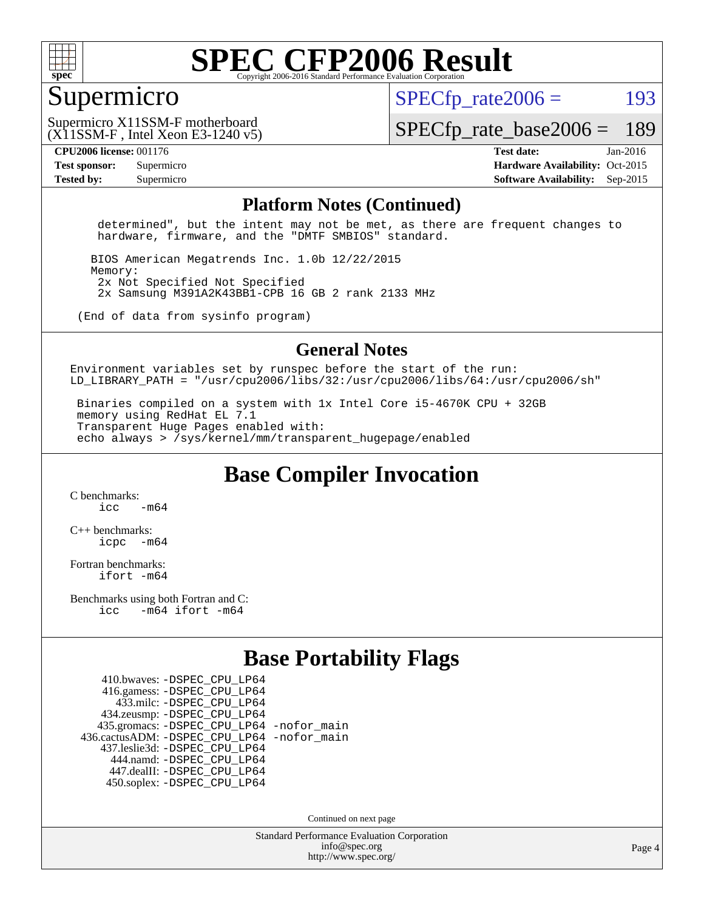

#### Supermicro

 $SPECTp\_rate2006 = 193$ 

(X11SSM-F , Intel Xeon E3-1240 v5) Supermicro X11SSM-F motherboard

[SPECfp\\_rate\\_base2006 =](http://www.spec.org/auto/cpu2006/Docs/result-fields.html#SPECfpratebase2006) 189

**[CPU2006 license:](http://www.spec.org/auto/cpu2006/Docs/result-fields.html#CPU2006license)** 001176 **[Test date:](http://www.spec.org/auto/cpu2006/Docs/result-fields.html#Testdate)** Jan-2016 **[Test sponsor:](http://www.spec.org/auto/cpu2006/Docs/result-fields.html#Testsponsor)** Supermicro Supermicro **[Hardware Availability:](http://www.spec.org/auto/cpu2006/Docs/result-fields.html#HardwareAvailability)** Oct-2015 **[Tested by:](http://www.spec.org/auto/cpu2006/Docs/result-fields.html#Testedby)** Supermicro **Supermicro [Software Availability:](http://www.spec.org/auto/cpu2006/Docs/result-fields.html#SoftwareAvailability)** Sep-2015

#### **[Platform Notes \(Continued\)](http://www.spec.org/auto/cpu2006/Docs/result-fields.html#PlatformNotes)**

 determined", but the intent may not be met, as there are frequent changes to hardware, firmware, and the "DMTF SMBIOS" standard.

 BIOS American Megatrends Inc. 1.0b 12/22/2015 Memory: 2x Not Specified Not Specified 2x Samsung M391A2K43BB1-CPB 16 GB 2 rank 2133 MHz

(End of data from sysinfo program)

#### **[General Notes](http://www.spec.org/auto/cpu2006/Docs/result-fields.html#GeneralNotes)**

Environment variables set by runspec before the start of the run: LD LIBRARY\_PATH = "/usr/cpu2006/libs/32:/usr/cpu2006/libs/64:/usr/cpu2006/sh"

 Binaries compiled on a system with 1x Intel Core i5-4670K CPU + 32GB memory using RedHat EL 7.1 Transparent Huge Pages enabled with: echo always > /sys/kernel/mm/transparent\_hugepage/enabled

**[Base Compiler Invocation](http://www.spec.org/auto/cpu2006/Docs/result-fields.html#BaseCompilerInvocation)**

[C benchmarks](http://www.spec.org/auto/cpu2006/Docs/result-fields.html#Cbenchmarks):  $icc$   $-m64$ 

[C++ benchmarks:](http://www.spec.org/auto/cpu2006/Docs/result-fields.html#CXXbenchmarks) [icpc -m64](http://www.spec.org/cpu2006/results/res2016q1/cpu2006-20160206-38998.flags.html#user_CXXbase_intel_icpc_64bit_bedb90c1146cab66620883ef4f41a67e)

[Fortran benchmarks](http://www.spec.org/auto/cpu2006/Docs/result-fields.html#Fortranbenchmarks): [ifort -m64](http://www.spec.org/cpu2006/results/res2016q1/cpu2006-20160206-38998.flags.html#user_FCbase_intel_ifort_64bit_ee9d0fb25645d0210d97eb0527dcc06e)

[Benchmarks using both Fortran and C](http://www.spec.org/auto/cpu2006/Docs/result-fields.html#BenchmarksusingbothFortranandC): [icc -m64](http://www.spec.org/cpu2006/results/res2016q1/cpu2006-20160206-38998.flags.html#user_CC_FCbase_intel_icc_64bit_0b7121f5ab7cfabee23d88897260401c) [ifort -m64](http://www.spec.org/cpu2006/results/res2016q1/cpu2006-20160206-38998.flags.html#user_CC_FCbase_intel_ifort_64bit_ee9d0fb25645d0210d97eb0527dcc06e)

### **[Base Portability Flags](http://www.spec.org/auto/cpu2006/Docs/result-fields.html#BasePortabilityFlags)**

 410.bwaves: [-DSPEC\\_CPU\\_LP64](http://www.spec.org/cpu2006/results/res2016q1/cpu2006-20160206-38998.flags.html#suite_basePORTABILITY410_bwaves_DSPEC_CPU_LP64) 416.gamess: [-DSPEC\\_CPU\\_LP64](http://www.spec.org/cpu2006/results/res2016q1/cpu2006-20160206-38998.flags.html#suite_basePORTABILITY416_gamess_DSPEC_CPU_LP64) 433.milc: [-DSPEC\\_CPU\\_LP64](http://www.spec.org/cpu2006/results/res2016q1/cpu2006-20160206-38998.flags.html#suite_basePORTABILITY433_milc_DSPEC_CPU_LP64) 434.zeusmp: [-DSPEC\\_CPU\\_LP64](http://www.spec.org/cpu2006/results/res2016q1/cpu2006-20160206-38998.flags.html#suite_basePORTABILITY434_zeusmp_DSPEC_CPU_LP64) 435.gromacs: [-DSPEC\\_CPU\\_LP64](http://www.spec.org/cpu2006/results/res2016q1/cpu2006-20160206-38998.flags.html#suite_basePORTABILITY435_gromacs_DSPEC_CPU_LP64) [-nofor\\_main](http://www.spec.org/cpu2006/results/res2016q1/cpu2006-20160206-38998.flags.html#user_baseLDPORTABILITY435_gromacs_f-nofor_main) 436.cactusADM: [-DSPEC\\_CPU\\_LP64](http://www.spec.org/cpu2006/results/res2016q1/cpu2006-20160206-38998.flags.html#suite_basePORTABILITY436_cactusADM_DSPEC_CPU_LP64) [-nofor\\_main](http://www.spec.org/cpu2006/results/res2016q1/cpu2006-20160206-38998.flags.html#user_baseLDPORTABILITY436_cactusADM_f-nofor_main) 437.leslie3d: [-DSPEC\\_CPU\\_LP64](http://www.spec.org/cpu2006/results/res2016q1/cpu2006-20160206-38998.flags.html#suite_basePORTABILITY437_leslie3d_DSPEC_CPU_LP64) 444.namd: [-DSPEC\\_CPU\\_LP64](http://www.spec.org/cpu2006/results/res2016q1/cpu2006-20160206-38998.flags.html#suite_basePORTABILITY444_namd_DSPEC_CPU_LP64) 447.dealII: [-DSPEC\\_CPU\\_LP64](http://www.spec.org/cpu2006/results/res2016q1/cpu2006-20160206-38998.flags.html#suite_basePORTABILITY447_dealII_DSPEC_CPU_LP64) 450.soplex: [-DSPEC\\_CPU\\_LP64](http://www.spec.org/cpu2006/results/res2016q1/cpu2006-20160206-38998.flags.html#suite_basePORTABILITY450_soplex_DSPEC_CPU_LP64)

Continued on next page

Standard Performance Evaluation Corporation [info@spec.org](mailto:info@spec.org) <http://www.spec.org/>

Page 4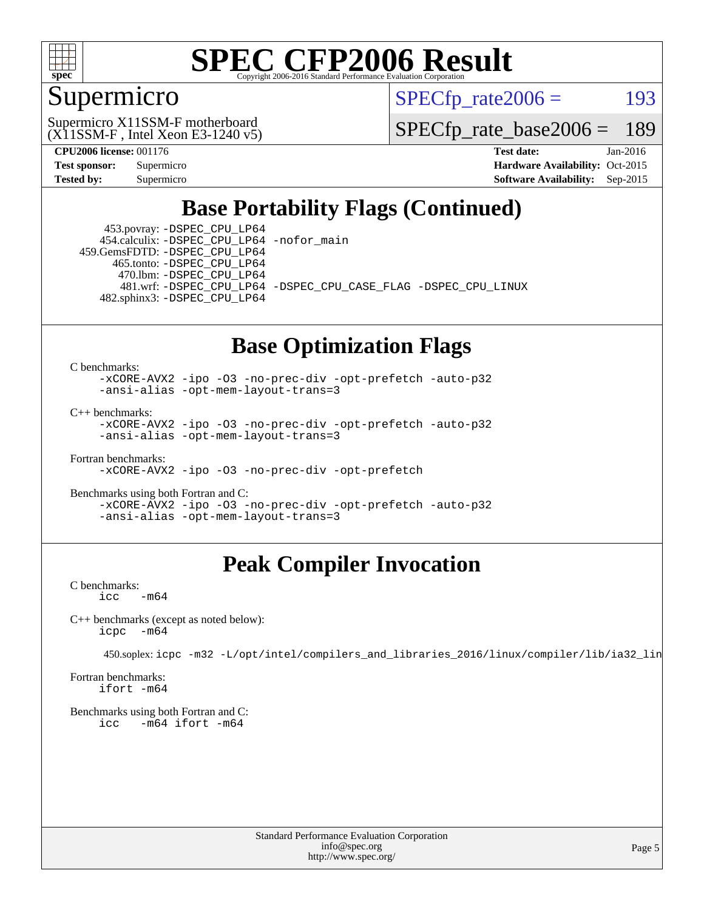

### Supermicro

 $SPECTp\_rate2006 = 193$ 

(X11SSM-F , Intel Xeon E3-1240 v5) Supermicro X11SSM-F motherboard

[SPECfp\\_rate\\_base2006 =](http://www.spec.org/auto/cpu2006/Docs/result-fields.html#SPECfpratebase2006) 189

**[CPU2006 license:](http://www.spec.org/auto/cpu2006/Docs/result-fields.html#CPU2006license)** 001176 **[Test date:](http://www.spec.org/auto/cpu2006/Docs/result-fields.html#Testdate)** Jan-2016

**[Test sponsor:](http://www.spec.org/auto/cpu2006/Docs/result-fields.html#Testsponsor)** Supermicro Supermicro **[Hardware Availability:](http://www.spec.org/auto/cpu2006/Docs/result-fields.html#HardwareAvailability)** Oct-2015 **[Tested by:](http://www.spec.org/auto/cpu2006/Docs/result-fields.html#Testedby)** Supermicro **Supermicro [Software Availability:](http://www.spec.org/auto/cpu2006/Docs/result-fields.html#SoftwareAvailability)** Sep-2015

### **[Base Portability Flags \(Continued\)](http://www.spec.org/auto/cpu2006/Docs/result-fields.html#BasePortabilityFlags)**

 453.povray: [-DSPEC\\_CPU\\_LP64](http://www.spec.org/cpu2006/results/res2016q1/cpu2006-20160206-38998.flags.html#suite_basePORTABILITY453_povray_DSPEC_CPU_LP64) 454.calculix: [-DSPEC\\_CPU\\_LP64](http://www.spec.org/cpu2006/results/res2016q1/cpu2006-20160206-38998.flags.html#suite_basePORTABILITY454_calculix_DSPEC_CPU_LP64) [-nofor\\_main](http://www.spec.org/cpu2006/results/res2016q1/cpu2006-20160206-38998.flags.html#user_baseLDPORTABILITY454_calculix_f-nofor_main) 459.GemsFDTD: [-DSPEC\\_CPU\\_LP64](http://www.spec.org/cpu2006/results/res2016q1/cpu2006-20160206-38998.flags.html#suite_basePORTABILITY459_GemsFDTD_DSPEC_CPU_LP64)

 465.tonto: [-DSPEC\\_CPU\\_LP64](http://www.spec.org/cpu2006/results/res2016q1/cpu2006-20160206-38998.flags.html#suite_basePORTABILITY465_tonto_DSPEC_CPU_LP64) 470.lbm: [-DSPEC\\_CPU\\_LP64](http://www.spec.org/cpu2006/results/res2016q1/cpu2006-20160206-38998.flags.html#suite_basePORTABILITY470_lbm_DSPEC_CPU_LP64)

 481.wrf: [-DSPEC\\_CPU\\_LP64](http://www.spec.org/cpu2006/results/res2016q1/cpu2006-20160206-38998.flags.html#suite_basePORTABILITY481_wrf_DSPEC_CPU_LP64) [-DSPEC\\_CPU\\_CASE\\_FLAG](http://www.spec.org/cpu2006/results/res2016q1/cpu2006-20160206-38998.flags.html#b481.wrf_baseCPORTABILITY_DSPEC_CPU_CASE_FLAG) [-DSPEC\\_CPU\\_LINUX](http://www.spec.org/cpu2006/results/res2016q1/cpu2006-20160206-38998.flags.html#b481.wrf_baseCPORTABILITY_DSPEC_CPU_LINUX) 482.sphinx3: [-DSPEC\\_CPU\\_LP64](http://www.spec.org/cpu2006/results/res2016q1/cpu2006-20160206-38998.flags.html#suite_basePORTABILITY482_sphinx3_DSPEC_CPU_LP64)

#### **[Base Optimization Flags](http://www.spec.org/auto/cpu2006/Docs/result-fields.html#BaseOptimizationFlags)**

[C benchmarks](http://www.spec.org/auto/cpu2006/Docs/result-fields.html#Cbenchmarks):

[-xCORE-AVX2](http://www.spec.org/cpu2006/results/res2016q1/cpu2006-20160206-38998.flags.html#user_CCbase_f-xAVX2_5f5fc0cbe2c9f62c816d3e45806c70d7) [-ipo](http://www.spec.org/cpu2006/results/res2016q1/cpu2006-20160206-38998.flags.html#user_CCbase_f-ipo) [-O3](http://www.spec.org/cpu2006/results/res2016q1/cpu2006-20160206-38998.flags.html#user_CCbase_f-O3) [-no-prec-div](http://www.spec.org/cpu2006/results/res2016q1/cpu2006-20160206-38998.flags.html#user_CCbase_f-no-prec-div) [-opt-prefetch](http://www.spec.org/cpu2006/results/res2016q1/cpu2006-20160206-38998.flags.html#user_CCbase_f-opt-prefetch) [-auto-p32](http://www.spec.org/cpu2006/results/res2016q1/cpu2006-20160206-38998.flags.html#user_CCbase_f-auto-p32) [-ansi-alias](http://www.spec.org/cpu2006/results/res2016q1/cpu2006-20160206-38998.flags.html#user_CCbase_f-ansi-alias) [-opt-mem-layout-trans=3](http://www.spec.org/cpu2006/results/res2016q1/cpu2006-20160206-38998.flags.html#user_CCbase_f-opt-mem-layout-trans_a7b82ad4bd7abf52556d4961a2ae94d5)

[C++ benchmarks:](http://www.spec.org/auto/cpu2006/Docs/result-fields.html#CXXbenchmarks)

[-xCORE-AVX2](http://www.spec.org/cpu2006/results/res2016q1/cpu2006-20160206-38998.flags.html#user_CXXbase_f-xAVX2_5f5fc0cbe2c9f62c816d3e45806c70d7) [-ipo](http://www.spec.org/cpu2006/results/res2016q1/cpu2006-20160206-38998.flags.html#user_CXXbase_f-ipo) [-O3](http://www.spec.org/cpu2006/results/res2016q1/cpu2006-20160206-38998.flags.html#user_CXXbase_f-O3) [-no-prec-div](http://www.spec.org/cpu2006/results/res2016q1/cpu2006-20160206-38998.flags.html#user_CXXbase_f-no-prec-div) [-opt-prefetch](http://www.spec.org/cpu2006/results/res2016q1/cpu2006-20160206-38998.flags.html#user_CXXbase_f-opt-prefetch) [-auto-p32](http://www.spec.org/cpu2006/results/res2016q1/cpu2006-20160206-38998.flags.html#user_CXXbase_f-auto-p32) [-ansi-alias](http://www.spec.org/cpu2006/results/res2016q1/cpu2006-20160206-38998.flags.html#user_CXXbase_f-ansi-alias) [-opt-mem-layout-trans=3](http://www.spec.org/cpu2006/results/res2016q1/cpu2006-20160206-38998.flags.html#user_CXXbase_f-opt-mem-layout-trans_a7b82ad4bd7abf52556d4961a2ae94d5)

[Fortran benchmarks](http://www.spec.org/auto/cpu2006/Docs/result-fields.html#Fortranbenchmarks): [-xCORE-AVX2](http://www.spec.org/cpu2006/results/res2016q1/cpu2006-20160206-38998.flags.html#user_FCbase_f-xAVX2_5f5fc0cbe2c9f62c816d3e45806c70d7) [-ipo](http://www.spec.org/cpu2006/results/res2016q1/cpu2006-20160206-38998.flags.html#user_FCbase_f-ipo) [-O3](http://www.spec.org/cpu2006/results/res2016q1/cpu2006-20160206-38998.flags.html#user_FCbase_f-O3) [-no-prec-div](http://www.spec.org/cpu2006/results/res2016q1/cpu2006-20160206-38998.flags.html#user_FCbase_f-no-prec-div) [-opt-prefetch](http://www.spec.org/cpu2006/results/res2016q1/cpu2006-20160206-38998.flags.html#user_FCbase_f-opt-prefetch)

[Benchmarks using both Fortran and C](http://www.spec.org/auto/cpu2006/Docs/result-fields.html#BenchmarksusingbothFortranandC): [-xCORE-AVX2](http://www.spec.org/cpu2006/results/res2016q1/cpu2006-20160206-38998.flags.html#user_CC_FCbase_f-xAVX2_5f5fc0cbe2c9f62c816d3e45806c70d7) [-ipo](http://www.spec.org/cpu2006/results/res2016q1/cpu2006-20160206-38998.flags.html#user_CC_FCbase_f-ipo) [-O3](http://www.spec.org/cpu2006/results/res2016q1/cpu2006-20160206-38998.flags.html#user_CC_FCbase_f-O3) [-no-prec-div](http://www.spec.org/cpu2006/results/res2016q1/cpu2006-20160206-38998.flags.html#user_CC_FCbase_f-no-prec-div) [-opt-prefetch](http://www.spec.org/cpu2006/results/res2016q1/cpu2006-20160206-38998.flags.html#user_CC_FCbase_f-opt-prefetch) [-auto-p32](http://www.spec.org/cpu2006/results/res2016q1/cpu2006-20160206-38998.flags.html#user_CC_FCbase_f-auto-p32) [-ansi-alias](http://www.spec.org/cpu2006/results/res2016q1/cpu2006-20160206-38998.flags.html#user_CC_FCbase_f-ansi-alias) [-opt-mem-layout-trans=3](http://www.spec.org/cpu2006/results/res2016q1/cpu2006-20160206-38998.flags.html#user_CC_FCbase_f-opt-mem-layout-trans_a7b82ad4bd7abf52556d4961a2ae94d5)

### **[Peak Compiler Invocation](http://www.spec.org/auto/cpu2006/Docs/result-fields.html#PeakCompilerInvocation)**

[C benchmarks](http://www.spec.org/auto/cpu2006/Docs/result-fields.html#Cbenchmarks):  $\text{icc}$   $-\text{m64}$ 

[C++ benchmarks \(except as noted below\):](http://www.spec.org/auto/cpu2006/Docs/result-fields.html#CXXbenchmarksexceptasnotedbelow) [icpc -m64](http://www.spec.org/cpu2006/results/res2016q1/cpu2006-20160206-38998.flags.html#user_CXXpeak_intel_icpc_64bit_bedb90c1146cab66620883ef4f41a67e)

450.soplex: [icpc -m32 -L/opt/intel/compilers\\_and\\_libraries\\_2016/linux/compiler/lib/ia32\\_lin](http://www.spec.org/cpu2006/results/res2016q1/cpu2006-20160206-38998.flags.html#user_peakCXXLD450_soplex_intel_icpc_b4f50a394bdb4597aa5879c16bc3f5c5)

[Fortran benchmarks](http://www.spec.org/auto/cpu2006/Docs/result-fields.html#Fortranbenchmarks): [ifort -m64](http://www.spec.org/cpu2006/results/res2016q1/cpu2006-20160206-38998.flags.html#user_FCpeak_intel_ifort_64bit_ee9d0fb25645d0210d97eb0527dcc06e)

[Benchmarks using both Fortran and C](http://www.spec.org/auto/cpu2006/Docs/result-fields.html#BenchmarksusingbothFortranandC): [icc -m64](http://www.spec.org/cpu2006/results/res2016q1/cpu2006-20160206-38998.flags.html#user_CC_FCpeak_intel_icc_64bit_0b7121f5ab7cfabee23d88897260401c) [ifort -m64](http://www.spec.org/cpu2006/results/res2016q1/cpu2006-20160206-38998.flags.html#user_CC_FCpeak_intel_ifort_64bit_ee9d0fb25645d0210d97eb0527dcc06e)

> Standard Performance Evaluation Corporation [info@spec.org](mailto:info@spec.org) <http://www.spec.org/>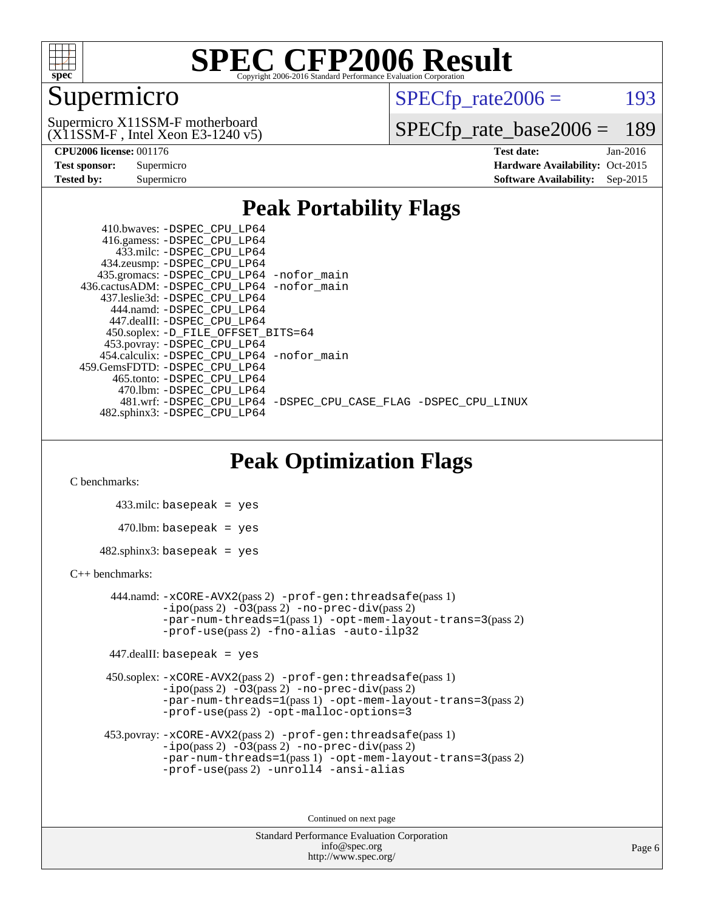

### Supermicro

 $SPECTp\_rate2006 = 193$ 

(X11SSM-F , Intel Xeon E3-1240 v5) Supermicro X11SSM-F motherboard

[SPECfp\\_rate\\_base2006 =](http://www.spec.org/auto/cpu2006/Docs/result-fields.html#SPECfpratebase2006) 189

| <b>Test sponsor:</b> | Supermicro |
|----------------------|------------|
| <b>Tested by:</b>    | Supermicro |

**[CPU2006 license:](http://www.spec.org/auto/cpu2006/Docs/result-fields.html#CPU2006license)** 001176 **[Test date:](http://www.spec.org/auto/cpu2006/Docs/result-fields.html#Testdate)** Jan-2016 **[Hardware Availability:](http://www.spec.org/auto/cpu2006/Docs/result-fields.html#HardwareAvailability)** Oct-2015 **[Software Availability:](http://www.spec.org/auto/cpu2006/Docs/result-fields.html#SoftwareAvailability)** Sep-2015

#### **[Peak Portability Flags](http://www.spec.org/auto/cpu2006/Docs/result-fields.html#PeakPortabilityFlags)**

 410.bwaves: [-DSPEC\\_CPU\\_LP64](http://www.spec.org/cpu2006/results/res2016q1/cpu2006-20160206-38998.flags.html#suite_peakPORTABILITY410_bwaves_DSPEC_CPU_LP64) 416.gamess: [-DSPEC\\_CPU\\_LP64](http://www.spec.org/cpu2006/results/res2016q1/cpu2006-20160206-38998.flags.html#suite_peakPORTABILITY416_gamess_DSPEC_CPU_LP64) 433.milc: [-DSPEC\\_CPU\\_LP64](http://www.spec.org/cpu2006/results/res2016q1/cpu2006-20160206-38998.flags.html#suite_peakPORTABILITY433_milc_DSPEC_CPU_LP64) 434.zeusmp: [-DSPEC\\_CPU\\_LP64](http://www.spec.org/cpu2006/results/res2016q1/cpu2006-20160206-38998.flags.html#suite_peakPORTABILITY434_zeusmp_DSPEC_CPU_LP64) 435.gromacs: [-DSPEC\\_CPU\\_LP64](http://www.spec.org/cpu2006/results/res2016q1/cpu2006-20160206-38998.flags.html#suite_peakPORTABILITY435_gromacs_DSPEC_CPU_LP64) [-nofor\\_main](http://www.spec.org/cpu2006/results/res2016q1/cpu2006-20160206-38998.flags.html#user_peakLDPORTABILITY435_gromacs_f-nofor_main) 436.cactusADM: [-DSPEC\\_CPU\\_LP64](http://www.spec.org/cpu2006/results/res2016q1/cpu2006-20160206-38998.flags.html#suite_peakPORTABILITY436_cactusADM_DSPEC_CPU_LP64) [-nofor\\_main](http://www.spec.org/cpu2006/results/res2016q1/cpu2006-20160206-38998.flags.html#user_peakLDPORTABILITY436_cactusADM_f-nofor_main) 437.leslie3d: [-DSPEC\\_CPU\\_LP64](http://www.spec.org/cpu2006/results/res2016q1/cpu2006-20160206-38998.flags.html#suite_peakPORTABILITY437_leslie3d_DSPEC_CPU_LP64) 444.namd: [-DSPEC\\_CPU\\_LP64](http://www.spec.org/cpu2006/results/res2016q1/cpu2006-20160206-38998.flags.html#suite_peakPORTABILITY444_namd_DSPEC_CPU_LP64) 447.dealII: [-DSPEC\\_CPU\\_LP64](http://www.spec.org/cpu2006/results/res2016q1/cpu2006-20160206-38998.flags.html#suite_peakPORTABILITY447_dealII_DSPEC_CPU_LP64) 450.soplex: [-D\\_FILE\\_OFFSET\\_BITS=64](http://www.spec.org/cpu2006/results/res2016q1/cpu2006-20160206-38998.flags.html#user_peakPORTABILITY450_soplex_file_offset_bits_64_438cf9856305ebd76870a2c6dc2689ab) 453.povray: [-DSPEC\\_CPU\\_LP64](http://www.spec.org/cpu2006/results/res2016q1/cpu2006-20160206-38998.flags.html#suite_peakPORTABILITY453_povray_DSPEC_CPU_LP64) 454.calculix: [-DSPEC\\_CPU\\_LP64](http://www.spec.org/cpu2006/results/res2016q1/cpu2006-20160206-38998.flags.html#suite_peakPORTABILITY454_calculix_DSPEC_CPU_LP64) [-nofor\\_main](http://www.spec.org/cpu2006/results/res2016q1/cpu2006-20160206-38998.flags.html#user_peakLDPORTABILITY454_calculix_f-nofor_main) 459.GemsFDTD: [-DSPEC\\_CPU\\_LP64](http://www.spec.org/cpu2006/results/res2016q1/cpu2006-20160206-38998.flags.html#suite_peakPORTABILITY459_GemsFDTD_DSPEC_CPU_LP64) 465.tonto: [-DSPEC\\_CPU\\_LP64](http://www.spec.org/cpu2006/results/res2016q1/cpu2006-20160206-38998.flags.html#suite_peakPORTABILITY465_tonto_DSPEC_CPU_LP64) 470.lbm: [-DSPEC\\_CPU\\_LP64](http://www.spec.org/cpu2006/results/res2016q1/cpu2006-20160206-38998.flags.html#suite_peakPORTABILITY470_lbm_DSPEC_CPU_LP64) 481.wrf: [-DSPEC\\_CPU\\_LP64](http://www.spec.org/cpu2006/results/res2016q1/cpu2006-20160206-38998.flags.html#suite_peakPORTABILITY481_wrf_DSPEC_CPU_LP64) [-DSPEC\\_CPU\\_CASE\\_FLAG](http://www.spec.org/cpu2006/results/res2016q1/cpu2006-20160206-38998.flags.html#b481.wrf_peakCPORTABILITY_DSPEC_CPU_CASE_FLAG) [-DSPEC\\_CPU\\_LINUX](http://www.spec.org/cpu2006/results/res2016q1/cpu2006-20160206-38998.flags.html#b481.wrf_peakCPORTABILITY_DSPEC_CPU_LINUX) 482.sphinx3: [-DSPEC\\_CPU\\_LP64](http://www.spec.org/cpu2006/results/res2016q1/cpu2006-20160206-38998.flags.html#suite_peakPORTABILITY482_sphinx3_DSPEC_CPU_LP64)

### **[Peak Optimization Flags](http://www.spec.org/auto/cpu2006/Docs/result-fields.html#PeakOptimizationFlags)**

[C benchmarks](http://www.spec.org/auto/cpu2006/Docs/result-fields.html#Cbenchmarks):

 433.milc: basepeak = yes  $470.1$ bm: basepeak = yes  $482$ .sphinx3: basepeak = yes

#### [C++ benchmarks:](http://www.spec.org/auto/cpu2006/Docs/result-fields.html#CXXbenchmarks)

 444.namd: [-xCORE-AVX2](http://www.spec.org/cpu2006/results/res2016q1/cpu2006-20160206-38998.flags.html#user_peakPASS2_CXXFLAGSPASS2_LDFLAGS444_namd_f-xAVX2_5f5fc0cbe2c9f62c816d3e45806c70d7)(pass 2) [-prof-gen:threadsafe](http://www.spec.org/cpu2006/results/res2016q1/cpu2006-20160206-38998.flags.html#user_peakPASS1_CXXFLAGSPASS1_LDFLAGS444_namd_prof_gen_21a26eb79f378b550acd7bec9fe4467a)(pass 1)  $-i\text{po}(pass 2) -03(pass 2) -no-prec-div(pass 2)$  $-i\text{po}(pass 2) -03(pass 2) -no-prec-div(pass 2)$  $-i\text{po}(pass 2) -03(pass 2) -no-prec-div(pass 2)$ [-par-num-threads=1](http://www.spec.org/cpu2006/results/res2016q1/cpu2006-20160206-38998.flags.html#user_peakPASS1_CXXFLAGSPASS1_LDFLAGS444_namd_par_num_threads_786a6ff141b4e9e90432e998842df6c2)(pass 1) [-opt-mem-layout-trans=3](http://www.spec.org/cpu2006/results/res2016q1/cpu2006-20160206-38998.flags.html#user_peakPASS2_CXXFLAGS444_namd_f-opt-mem-layout-trans_a7b82ad4bd7abf52556d4961a2ae94d5)(pass 2) [-prof-use](http://www.spec.org/cpu2006/results/res2016q1/cpu2006-20160206-38998.flags.html#user_peakPASS2_CXXFLAGSPASS2_LDFLAGS444_namd_prof_use_bccf7792157ff70d64e32fe3e1250b55)(pass 2) [-fno-alias](http://www.spec.org/cpu2006/results/res2016q1/cpu2006-20160206-38998.flags.html#user_peakCXXOPTIMIZE444_namd_f-no-alias_694e77f6c5a51e658e82ccff53a9e63a) [-auto-ilp32](http://www.spec.org/cpu2006/results/res2016q1/cpu2006-20160206-38998.flags.html#user_peakCXXOPTIMIZE444_namd_f-auto-ilp32)

447.dealII: basepeak = yes

 450.soplex: [-xCORE-AVX2](http://www.spec.org/cpu2006/results/res2016q1/cpu2006-20160206-38998.flags.html#user_peakPASS2_CXXFLAGSPASS2_LDFLAGS450_soplex_f-xAVX2_5f5fc0cbe2c9f62c816d3e45806c70d7)(pass 2) [-prof-gen:threadsafe](http://www.spec.org/cpu2006/results/res2016q1/cpu2006-20160206-38998.flags.html#user_peakPASS1_CXXFLAGSPASS1_LDFLAGS450_soplex_prof_gen_21a26eb79f378b550acd7bec9fe4467a)(pass 1)  $-i\text{po}(pass 2) -\tilde{O}3(pass 2)$  -no- $\bar{p}rec-div(pass 2)$ [-par-num-threads=1](http://www.spec.org/cpu2006/results/res2016q1/cpu2006-20160206-38998.flags.html#user_peakPASS1_CXXFLAGSPASS1_LDFLAGS450_soplex_par_num_threads_786a6ff141b4e9e90432e998842df6c2)(pass 1) [-opt-mem-layout-trans=3](http://www.spec.org/cpu2006/results/res2016q1/cpu2006-20160206-38998.flags.html#user_peakPASS2_CXXFLAGS450_soplex_f-opt-mem-layout-trans_a7b82ad4bd7abf52556d4961a2ae94d5)(pass 2) [-prof-use](http://www.spec.org/cpu2006/results/res2016q1/cpu2006-20160206-38998.flags.html#user_peakPASS2_CXXFLAGSPASS2_LDFLAGS450_soplex_prof_use_bccf7792157ff70d64e32fe3e1250b55)(pass 2) [-opt-malloc-options=3](http://www.spec.org/cpu2006/results/res2016q1/cpu2006-20160206-38998.flags.html#user_peakOPTIMIZE450_soplex_f-opt-malloc-options_13ab9b803cf986b4ee62f0a5998c2238)

```
 453.povray: -xCORE-AVX2(pass 2) -prof-gen:threadsafe(pass 1)
-no-prec-div(pass 2)-par-num-threads=1(pass 1) -opt-mem-layout-trans=3(pass 2)
-prof-use(pass 2) -unroll4 -ansi-alias
```
Continued on next page

```
Standard Performance Evaluation Corporation
      info@spec.org
   http://www.spec.org/
```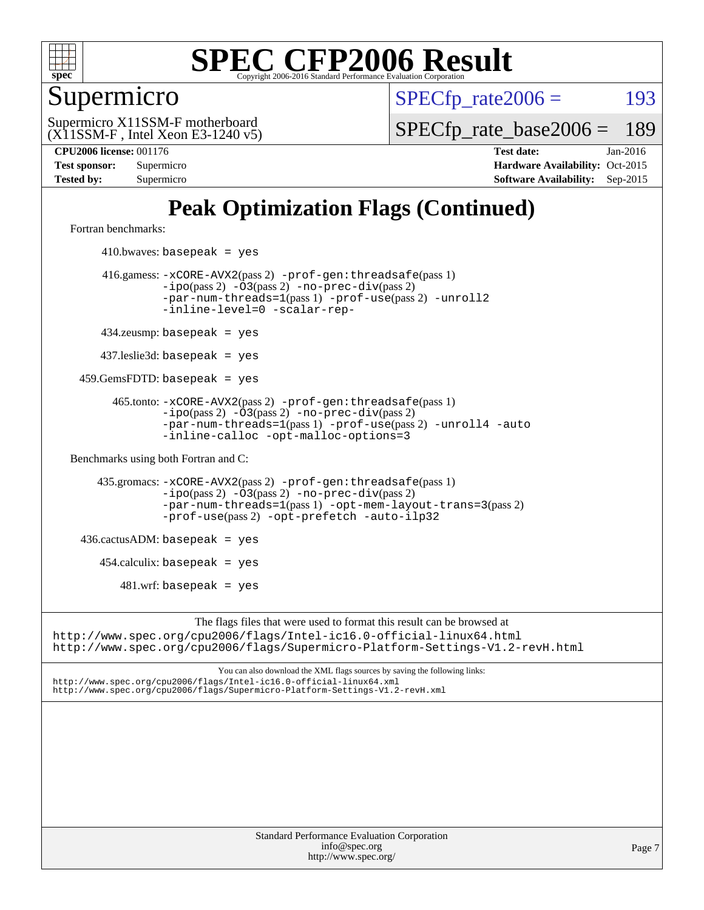

### Supermicro

 $SPECTp\_rate2006 = 193$ 

(X11SSM-F , Intel Xeon E3-1240 v5) Supermicro X11SSM-F motherboard

[SPECfp\\_rate\\_base2006 =](http://www.spec.org/auto/cpu2006/Docs/result-fields.html#SPECfpratebase2006) 189

**[CPU2006 license:](http://www.spec.org/auto/cpu2006/Docs/result-fields.html#CPU2006license)** 001176 **[Test date:](http://www.spec.org/auto/cpu2006/Docs/result-fields.html#Testdate)** Jan-2016 **[Test sponsor:](http://www.spec.org/auto/cpu2006/Docs/result-fields.html#Testsponsor)** Supermicro Supermicro **[Hardware Availability:](http://www.spec.org/auto/cpu2006/Docs/result-fields.html#HardwareAvailability)** Oct-2015 **[Tested by:](http://www.spec.org/auto/cpu2006/Docs/result-fields.html#Testedby)** Supermicro **Supermicro [Software Availability:](http://www.spec.org/auto/cpu2006/Docs/result-fields.html#SoftwareAvailability)** Sep-2015

## **[Peak Optimization Flags \(Continued\)](http://www.spec.org/auto/cpu2006/Docs/result-fields.html#PeakOptimizationFlags)**

[Fortran benchmarks](http://www.spec.org/auto/cpu2006/Docs/result-fields.html#Fortranbenchmarks):

 $410.bwaves: basepeak = yes$  416.gamess: [-xCORE-AVX2](http://www.spec.org/cpu2006/results/res2016q1/cpu2006-20160206-38998.flags.html#user_peakPASS2_FFLAGSPASS2_LDFLAGS416_gamess_f-xAVX2_5f5fc0cbe2c9f62c816d3e45806c70d7)(pass 2) [-prof-gen:threadsafe](http://www.spec.org/cpu2006/results/res2016q1/cpu2006-20160206-38998.flags.html#user_peakPASS1_FFLAGSPASS1_LDFLAGS416_gamess_prof_gen_21a26eb79f378b550acd7bec9fe4467a)(pass 1) [-ipo](http://www.spec.org/cpu2006/results/res2016q1/cpu2006-20160206-38998.flags.html#user_peakPASS2_FFLAGSPASS2_LDFLAGS416_gamess_f-ipo)(pass 2) [-O3](http://www.spec.org/cpu2006/results/res2016q1/cpu2006-20160206-38998.flags.html#user_peakPASS2_FFLAGSPASS2_LDFLAGS416_gamess_f-O3)(pass 2) [-no-prec-div](http://www.spec.org/cpu2006/results/res2016q1/cpu2006-20160206-38998.flags.html#user_peakPASS2_FFLAGSPASS2_LDFLAGS416_gamess_f-no-prec-div)(pass 2) [-par-num-threads=1](http://www.spec.org/cpu2006/results/res2016q1/cpu2006-20160206-38998.flags.html#user_peakPASS1_FFLAGSPASS1_LDFLAGS416_gamess_par_num_threads_786a6ff141b4e9e90432e998842df6c2)(pass 1) [-prof-use](http://www.spec.org/cpu2006/results/res2016q1/cpu2006-20160206-38998.flags.html#user_peakPASS2_FFLAGSPASS2_LDFLAGS416_gamess_prof_use_bccf7792157ff70d64e32fe3e1250b55)(pass 2) [-unroll2](http://www.spec.org/cpu2006/results/res2016q1/cpu2006-20160206-38998.flags.html#user_peakOPTIMIZE416_gamess_f-unroll_784dae83bebfb236979b41d2422d7ec2) [-inline-level=0](http://www.spec.org/cpu2006/results/res2016q1/cpu2006-20160206-38998.flags.html#user_peakOPTIMIZE416_gamess_f-inline-level_318d07a09274ad25e8d15dbfaa68ba50) [-scalar-rep-](http://www.spec.org/cpu2006/results/res2016q1/cpu2006-20160206-38998.flags.html#user_peakOPTIMIZE416_gamess_f-disablescalarrep_abbcad04450fb118e4809c81d83c8a1d) 434.zeusmp: basepeak = yes 437.leslie3d: basepeak = yes 459.GemsFDTD: basepeak = yes 465.tonto: [-xCORE-AVX2](http://www.spec.org/cpu2006/results/res2016q1/cpu2006-20160206-38998.flags.html#user_peakPASS2_FFLAGSPASS2_LDFLAGS465_tonto_f-xAVX2_5f5fc0cbe2c9f62c816d3e45806c70d7)(pass 2) [-prof-gen:threadsafe](http://www.spec.org/cpu2006/results/res2016q1/cpu2006-20160206-38998.flags.html#user_peakPASS1_FFLAGSPASS1_LDFLAGS465_tonto_prof_gen_21a26eb79f378b550acd7bec9fe4467a)(pass 1)  $-ipo(pass 2)$  $-ipo(pass 2)$   $-03(pass 2)$   $-no-prec-div(pass 2)$  $-no-prec-div(pass 2)$ [-par-num-threads=1](http://www.spec.org/cpu2006/results/res2016q1/cpu2006-20160206-38998.flags.html#user_peakPASS1_FFLAGSPASS1_LDFLAGS465_tonto_par_num_threads_786a6ff141b4e9e90432e998842df6c2)(pass 1) [-prof-use](http://www.spec.org/cpu2006/results/res2016q1/cpu2006-20160206-38998.flags.html#user_peakPASS2_FFLAGSPASS2_LDFLAGS465_tonto_prof_use_bccf7792157ff70d64e32fe3e1250b55)(pass 2) [-unroll4](http://www.spec.org/cpu2006/results/res2016q1/cpu2006-20160206-38998.flags.html#user_peakOPTIMIZE465_tonto_f-unroll_4e5e4ed65b7fd20bdcd365bec371b81f) [-auto](http://www.spec.org/cpu2006/results/res2016q1/cpu2006-20160206-38998.flags.html#user_peakOPTIMIZE465_tonto_f-auto) [-inline-calloc](http://www.spec.org/cpu2006/results/res2016q1/cpu2006-20160206-38998.flags.html#user_peakOPTIMIZE465_tonto_f-inline-calloc) [-opt-malloc-options=3](http://www.spec.org/cpu2006/results/res2016q1/cpu2006-20160206-38998.flags.html#user_peakOPTIMIZE465_tonto_f-opt-malloc-options_13ab9b803cf986b4ee62f0a5998c2238) [Benchmarks using both Fortran and C](http://www.spec.org/auto/cpu2006/Docs/result-fields.html#BenchmarksusingbothFortranandC): 435.gromacs: [-xCORE-AVX2](http://www.spec.org/cpu2006/results/res2016q1/cpu2006-20160206-38998.flags.html#user_peakPASS2_CFLAGSPASS2_FFLAGSPASS2_LDFLAGS435_gromacs_f-xAVX2_5f5fc0cbe2c9f62c816d3e45806c70d7)(pass 2) [-prof-gen:threadsafe](http://www.spec.org/cpu2006/results/res2016q1/cpu2006-20160206-38998.flags.html#user_peakPASS1_CFLAGSPASS1_FFLAGSPASS1_LDFLAGS435_gromacs_prof_gen_21a26eb79f378b550acd7bec9fe4467a)(pass 1) [-ipo](http://www.spec.org/cpu2006/results/res2016q1/cpu2006-20160206-38998.flags.html#user_peakPASS2_CFLAGSPASS2_FFLAGSPASS2_LDFLAGS435_gromacs_f-ipo)(pass 2) [-O3](http://www.spec.org/cpu2006/results/res2016q1/cpu2006-20160206-38998.flags.html#user_peakPASS2_CFLAGSPASS2_FFLAGSPASS2_LDFLAGS435_gromacs_f-O3)(pass 2) [-no-prec-div](http://www.spec.org/cpu2006/results/res2016q1/cpu2006-20160206-38998.flags.html#user_peakPASS2_CFLAGSPASS2_FFLAGSPASS2_LDFLAGS435_gromacs_f-no-prec-div)(pass 2) [-par-num-threads=1](http://www.spec.org/cpu2006/results/res2016q1/cpu2006-20160206-38998.flags.html#user_peakPASS1_CFLAGSPASS1_FFLAGSPASS1_LDFLAGS435_gromacs_par_num_threads_786a6ff141b4e9e90432e998842df6c2)(pass 1) [-opt-mem-layout-trans=3](http://www.spec.org/cpu2006/results/res2016q1/cpu2006-20160206-38998.flags.html#user_peakPASS2_CFLAGS435_gromacs_f-opt-mem-layout-trans_a7b82ad4bd7abf52556d4961a2ae94d5)(pass 2) [-prof-use](http://www.spec.org/cpu2006/results/res2016q1/cpu2006-20160206-38998.flags.html#user_peakPASS2_CFLAGSPASS2_FFLAGSPASS2_LDFLAGS435_gromacs_prof_use_bccf7792157ff70d64e32fe3e1250b55)(pass 2) [-opt-prefetch](http://www.spec.org/cpu2006/results/res2016q1/cpu2006-20160206-38998.flags.html#user_peakOPTIMIZE435_gromacs_f-opt-prefetch) [-auto-ilp32](http://www.spec.org/cpu2006/results/res2016q1/cpu2006-20160206-38998.flags.html#user_peakCOPTIMIZE435_gromacs_f-auto-ilp32)  $436.cactusADM:basepeak = yes$  454.calculix: basepeak = yes  $481.$ wrf: basepeak = yes The flags files that were used to format this result can be browsed at <http://www.spec.org/cpu2006/flags/Intel-ic16.0-official-linux64.html> <http://www.spec.org/cpu2006/flags/Supermicro-Platform-Settings-V1.2-revH.html>

You can also download the XML flags sources by saving the following links: <http://www.spec.org/cpu2006/flags/Intel-ic16.0-official-linux64.xml> <http://www.spec.org/cpu2006/flags/Supermicro-Platform-Settings-V1.2-revH.xml>